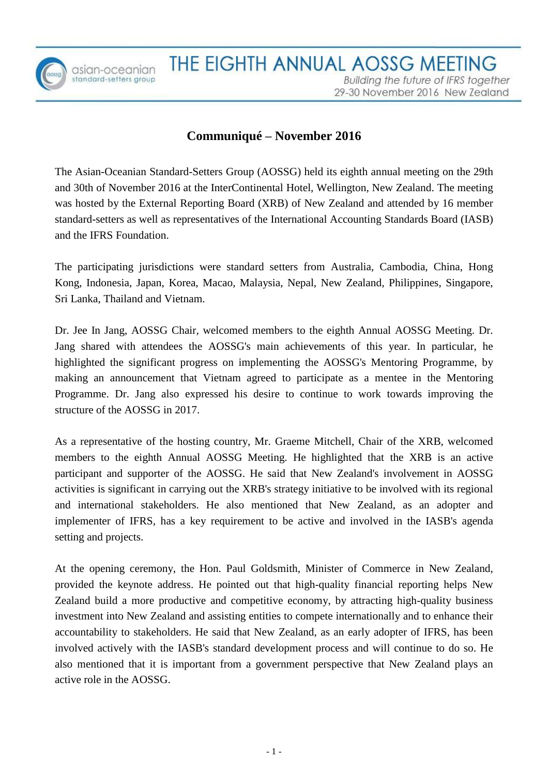

# **Communiqué – November 2016**

The Asian-Oceanian Standard-Setters Group (AOSSG) held its eighth annual meeting on the 29th and 30th of November 2016 at the InterContinental Hotel, Wellington, New Zealand. The meeting was hosted by the External Reporting Board (XRB) of New Zealand and attended by 16 member standard-setters as well as representatives of the International Accounting Standards Board (IASB) and the IFRS Foundation.

The participating jurisdictions were standard setters from Australia, Cambodia, China, Hong Kong, Indonesia, Japan, Korea, Macao, Malaysia, Nepal, New Zealand, Philippines, Singapore, Sri Lanka, Thailand and Vietnam.

Dr. Jee In Jang, AOSSG Chair, welcomed members to the eighth Annual AOSSG Meeting. Dr. Jang shared with attendees the AOSSG's main achievements of this year. In particular, he highlighted the significant progress on implementing the AOSSG's Mentoring Programme, by making an announcement that Vietnam agreed to participate as a mentee in the Mentoring Programme. Dr. Jang also expressed his desire to continue to work towards improving the structure of the AOSSG in 2017.

As a representative of the hosting country, Mr. Graeme Mitchell, Chair of the XRB, welcomed members to the eighth Annual AOSSG Meeting. He highlighted that the XRB is an active participant and supporter of the AOSSG. He said that New Zealand's involvement in AOSSG activities is significant in carrying out the XRB's strategy initiative to be involved with its regional and international stakeholders. He also mentioned that New Zealand, as an adopter and implementer of IFRS, has a key requirement to be active and involved in the IASB's agenda setting and projects.

At the opening ceremony, the Hon. Paul Goldsmith, Minister of Commerce in New Zealand, provided the keynote address. He pointed out that high-quality financial reporting helps New Zealand build a more productive and competitive economy, by attracting high-quality business investment into New Zealand and assisting entities to compete internationally and to enhance their accountability to stakeholders. He said that New Zealand, as an early adopter of IFRS, has been involved actively with the IASB's standard development process and will continue to do so. He also mentioned that it is important from a government perspective that New Zealand plays an active role in the AOSSG.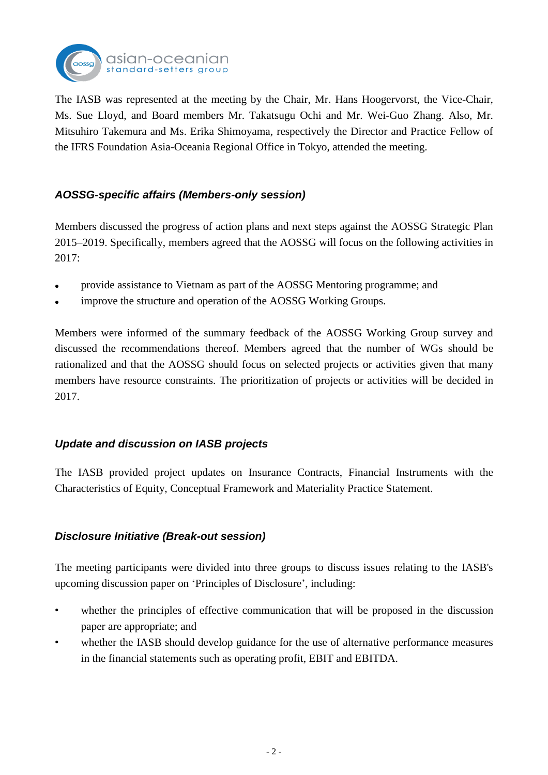

The IASB was represented at the meeting by the Chair, Mr. Hans Hoogervorst, the Vice-Chair, Ms. Sue Lloyd, and Board members Mr. Takatsugu Ochi and Mr. Wei-Guo Zhang. Also, Mr. Mitsuhiro Takemura and Ms. Erika Shimoyama, respectively the Director and Practice Fellow of the IFRS Foundation Asia-Oceania Regional Office in Tokyo, attended the meeting.

# *AOSSG-specific affairs (Members-only session)*

Members discussed the progress of action plans and next steps against the AOSSG Strategic Plan 2015–2019. Specifically, members agreed that the AOSSG will focus on the following activities in 2017:

- provide assistance to Vietnam as part of the AOSSG Mentoring programme; and
- improve the structure and operation of the AOSSG Working Groups.

Members were informed of the summary feedback of the AOSSG Working Group survey and discussed the recommendations thereof. Members agreed that the number of WGs should be rationalized and that the AOSSG should focus on selected projects or activities given that many members have resource constraints. The prioritization of projects or activities will be decided in 2017.

# *Update and discussion on IASB projects*

The IASB provided project updates on Insurance Contracts, Financial Instruments with the Characteristics of Equity, Conceptual Framework and Materiality Practice Statement.

# *Disclosure Initiative (Break-out session)*

The meeting participants were divided into three groups to discuss issues relating to the IASB's upcoming discussion paper on 'Principles of Disclosure', including:

- whether the principles of effective communication that will be proposed in the discussion paper are appropriate; and
- whether the IASB should develop guidance for the use of alternative performance measures in the financial statements such as operating profit, EBIT and EBITDA.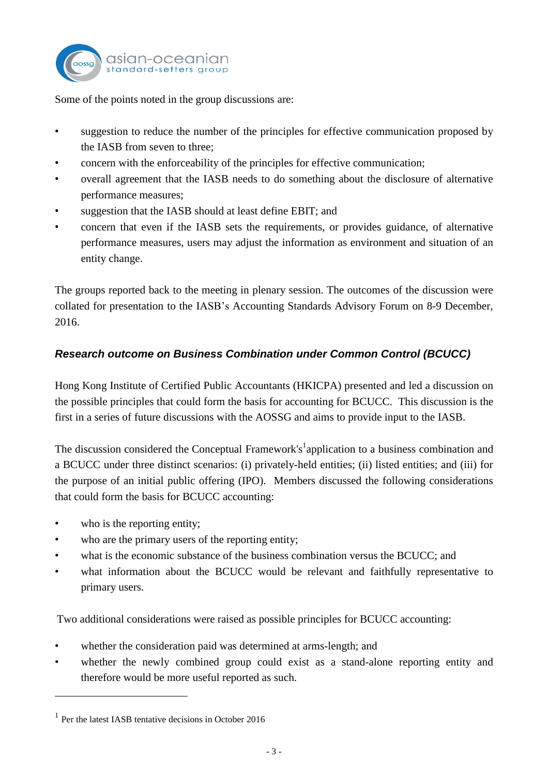

Some of the points noted in the group discussions are:

- suggestion to reduce the number of the principles for effective communication proposed by the IASB from seven to three;
- concern with the enforceability of the principles for effective communication;
- overall agreement that the IASB needs to do something about the disclosure of alternative performance measures;
- suggestion that the IASB should at least define EBIT; and
- concern that even if the IASB sets the requirements, or provides guidance, of alternative performance measures, users may adjust the information as environment and situation of an entity change.

The groups reported back to the meeting in plenary session. The outcomes of the discussion were collated for presentation to the IASB's Accounting Standards Advisory Forum on 8-9 December, 2016.

# *Research outcome on Business Combination under Common Control (BCUCC)*

Hong Kong Institute of Certified Public Accountants (HKICPA) presented and led a discussion on the possible principles that could form the basis for accounting for BCUCC. This discussion is the first in a series of future discussions with the AOSSG and aims to provide input to the IASB.

The discussion considered the Conceptual Framework's<sup>1</sup> application to a business combination and a BCUCC under three distinct scenarios: (i) privately-held entities; (ii) listed entities; and (iii) for the purpose of an initial public offering (IPO). Members discussed the following considerations that could form the basis for BCUCC accounting:

• who is the reporting entity;

 $\overline{a}$ 

- who are the primary users of the reporting entity;
- what is the economic substance of the business combination versus the BCUCC; and
- what information about the BCUCC would be relevant and faithfully representative to primary users.

Two additional considerations were raised as possible principles for BCUCC accounting:

- whether the consideration paid was determined at arms-length; and
- whether the newly combined group could exist as a stand-alone reporting entity and therefore would be more useful reported as such.

<sup>&</sup>lt;sup>1</sup> Per the latest IASB tentative decisions in October 2016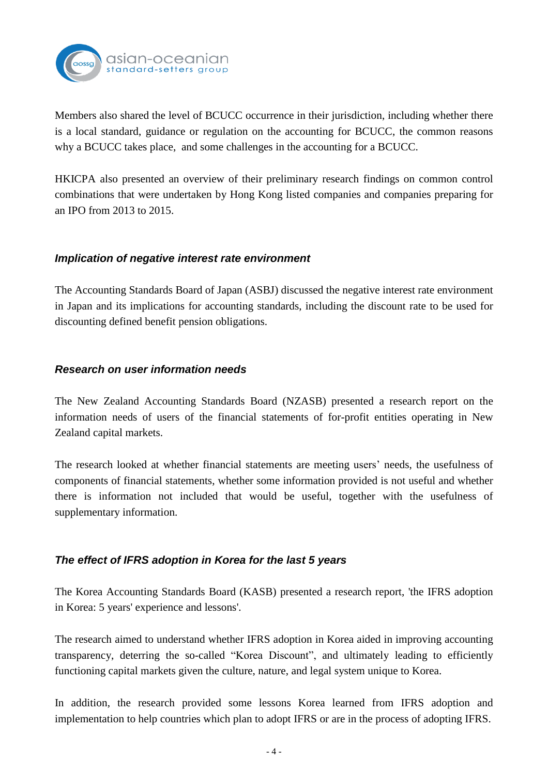

Members also shared the level of BCUCC occurrence in their jurisdiction, including whether there is a local standard, guidance or regulation on the accounting for BCUCC, the common reasons why a BCUCC takes place, and some challenges in the accounting for a BCUCC.

HKICPA also presented an overview of their preliminary research findings on common control combinations that were undertaken by Hong Kong listed companies and companies preparing for an IPO from 2013 to 2015.

#### *Implication of negative interest rate environment*

The Accounting Standards Board of Japan (ASBJ) discussed the negative interest rate environment in Japan and its implications for accounting standards, including the discount rate to be used for discounting defined benefit pension obligations.

## *Research on user information needs*

The New Zealand Accounting Standards Board (NZASB) presented a research report on the information needs of users of the financial statements of for-profit entities operating in New Zealand capital markets.

The research looked at whether financial statements are meeting users' needs, the usefulness of components of financial statements, whether some information provided is not useful and whether there is information not included that would be useful, together with the usefulness of supplementary information.

# *The effect of IFRS adoption in Korea for the last 5 years*

The Korea Accounting Standards Board (KASB) presented a research report, 'the IFRS adoption in Korea: 5 years' experience and lessons'.

The research aimed to understand whether IFRS adoption in Korea aided in improving accounting transparency, deterring the so-called "Korea Discount", and ultimately leading to efficiently functioning capital markets given the culture, nature, and legal system unique to Korea.

In addition, the research provided some lessons Korea learned from IFRS adoption and implementation to help countries which plan to adopt IFRS or are in the process of adopting IFRS.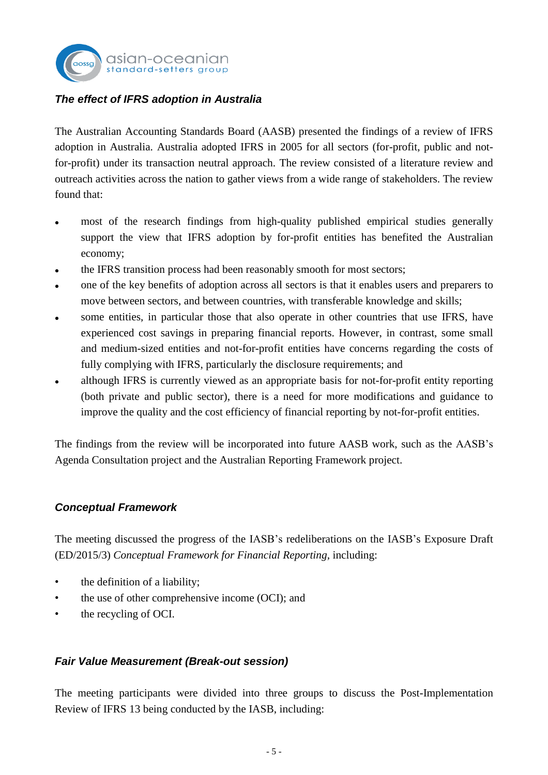# *The effect of IFRS adoption in Australia*

asian-oceanian standard-setters a

The Australian Accounting Standards Board (AASB) presented the findings of a review of IFRS adoption in Australia. Australia adopted IFRS in 2005 for all sectors (for-profit, public and notfor-profit) under its transaction neutral approach. The review consisted of a literature review and outreach activities across the nation to gather views from a wide range of stakeholders. The review found that:

- most of the research findings from high-quality published empirical studies generally support the view that IFRS adoption by for-profit entities has benefited the Australian economy;
- the IFRS transition process had been reasonably smooth for most sectors;
- one of the key benefits of adoption across all sectors is that it enables users and preparers to move between sectors, and between countries, with transferable knowledge and skills;
- some entities, in particular those that also operate in other countries that use IFRS, have experienced cost savings in preparing financial reports. However, in contrast, some small and medium-sized entities and not-for-profit entities have concerns regarding the costs of fully complying with IFRS, particularly the disclosure requirements; and
- although IFRS is currently viewed as an appropriate basis for not-for-profit entity reporting (both private and public sector), there is a need for more modifications and guidance to improve the quality and the cost efficiency of financial reporting by not-for-profit entities.

The findings from the review will be incorporated into future AASB work, such as the AASB's Agenda Consultation project and the Australian Reporting Framework project.

# *Conceptual Framework*

The meeting discussed the progress of the IASB's redeliberations on the IASB's Exposure Draft (ED/2015/3) *Conceptual Framework for Financial Reporting*, including:

- the definition of a liability;
- the use of other comprehensive income (OCI); and
- the recycling of OCI.

#### *Fair Value Measurement (Break-out session)*

The meeting participants were divided into three groups to discuss the Post-Implementation Review of IFRS 13 being conducted by the IASB, including: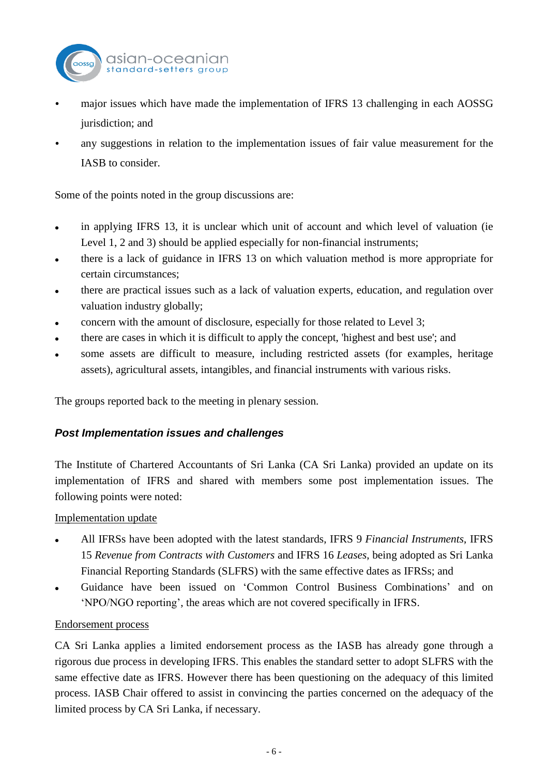

- major issues which have made the implementation of IFRS 13 challenging in each AOSSG jurisdiction; and
- any suggestions in relation to the implementation issues of fair value measurement for the IASB to consider.

Some of the points noted in the group discussions are:

- in applying IFRS 13, it is unclear which unit of account and which level of valuation (ie Level 1, 2 and 3) should be applied especially for non-financial instruments;
- there is a lack of guidance in IFRS 13 on which valuation method is more appropriate for certain circumstances;
- there are practical issues such as a lack of valuation experts, education, and regulation over valuation industry globally;
- concern with the amount of disclosure, especially for those related to Level 3;
- there are cases in which it is difficult to apply the concept, 'highest and best use'; and
- some assets are difficult to measure, including restricted assets (for examples, heritage assets), agricultural assets, intangibles, and financial instruments with various risks.

The groups reported back to the meeting in plenary session.

# *Post Implementation issues and challenges*

The Institute of Chartered Accountants of Sri Lanka (CA Sri Lanka) provided an update on its implementation of IFRS and shared with members some post implementation issues. The following points were noted:

Implementation update

- All IFRSs have been adopted with the latest standards, IFRS 9 *Financial Instruments*, IFRS 15 *Revenue from Contracts with Customers* and IFRS 16 *Leases*, being adopted as Sri Lanka Financial Reporting Standards (SLFRS) with the same effective dates as IFRSs; and
- Guidance have been issued on 'Common Control Business Combinations' and on 'NPO/NGO reporting', the areas which are not covered specifically in IFRS.

#### Endorsement process

CA Sri Lanka applies a limited endorsement process as the IASB has already gone through a rigorous due process in developing IFRS. This enables the standard setter to adopt SLFRS with the same effective date as IFRS. However there has been questioning on the adequacy of this limited process. IASB Chair offered to assist in convincing the parties concerned on the adequacy of the limited process by CA Sri Lanka, if necessary.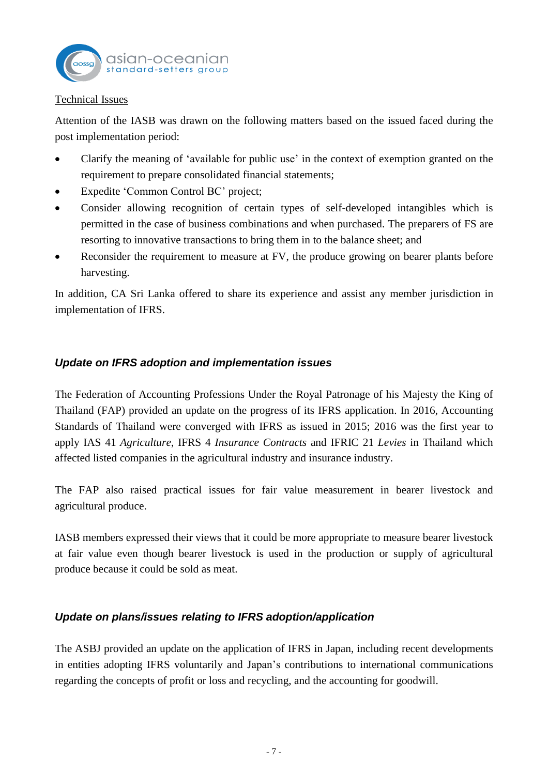

#### Technical Issues

Attention of the IASB was drawn on the following matters based on the issued faced during the post implementation period:

- Clarify the meaning of 'available for public use' in the context of exemption granted on the requirement to prepare consolidated financial statements;
- Expedite 'Common Control BC' project;
- Consider allowing recognition of certain types of self-developed intangibles which is permitted in the case of business combinations and when purchased. The preparers of FS are resorting to innovative transactions to bring them in to the balance sheet; and
- Reconsider the requirement to measure at FV, the produce growing on bearer plants before harvesting.

In addition, CA Sri Lanka offered to share its experience and assist any member jurisdiction in implementation of IFRS.

#### *Update on IFRS adoption and implementation issues*

The Federation of Accounting Professions Under the Royal Patronage of his Majesty the King of Thailand (FAP) provided an update on the progress of its IFRS application. In 2016, Accounting Standards of Thailand were converged with IFRS as issued in 2015; 2016 was the first year to apply IAS 41 *Agriculture*, IFRS 4 *Insurance Contracts* and IFRIC 21 *Levies* in Thailand which affected listed companies in the agricultural industry and insurance industry.

The FAP also raised practical issues for fair value measurement in bearer livestock and agricultural produce.

IASB members expressed their views that it could be more appropriate to measure bearer livestock at fair value even though bearer livestock is used in the production or supply of agricultural produce because it could be sold as meat.

# *Update on plans/issues relating to IFRS adoption/application*

The ASBJ provided an update on the application of IFRS in Japan, including recent developments in entities adopting IFRS voluntarily and Japan's contributions to international communications regarding the concepts of profit or loss and recycling, and the accounting for goodwill.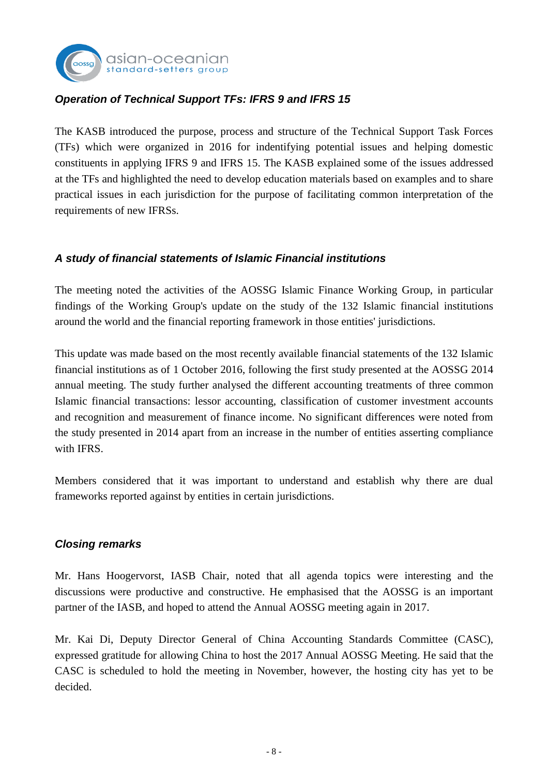

# *Operation of Technical Support TFs: IFRS 9 and IFRS 15*

The KASB introduced the purpose, process and structure of the Technical Support Task Forces (TFs) which were organized in 2016 for indentifying potential issues and helping domestic constituents in applying IFRS 9 and IFRS 15. The KASB explained some of the issues addressed at the TFs and highlighted the need to develop education materials based on examples and to share practical issues in each jurisdiction for the purpose of facilitating common interpretation of the requirements of new IFRSs.

## *A study of financial statements of Islamic Financial institutions*

The meeting noted the activities of the AOSSG Islamic Finance Working Group, in particular findings of the Working Group's update on the study of the 132 Islamic financial institutions around the world and the financial reporting framework in those entities' jurisdictions.

This update was made based on the most recently available financial statements of the 132 Islamic financial institutions as of 1 October 2016, following the first study presented at the AOSSG 2014 annual meeting. The study further analysed the different accounting treatments of three common Islamic financial transactions: lessor accounting, classification of customer investment accounts and recognition and measurement of finance income. No significant differences were noted from the study presented in 2014 apart from an increase in the number of entities asserting compliance with IFRS.

Members considered that it was important to understand and establish why there are dual frameworks reported against by entities in certain jurisdictions.

#### *Closing remarks*

Mr. Hans Hoogervorst, IASB Chair, noted that all agenda topics were interesting and the discussions were productive and constructive. He emphasised that the AOSSG is an important partner of the IASB, and hoped to attend the Annual AOSSG meeting again in 2017.

Mr. Kai Di, Deputy Director General of China Accounting Standards Committee (CASC), expressed gratitude for allowing China to host the 2017 Annual AOSSG Meeting. He said that the CASC is scheduled to hold the meeting in November, however, the hosting city has yet to be decided.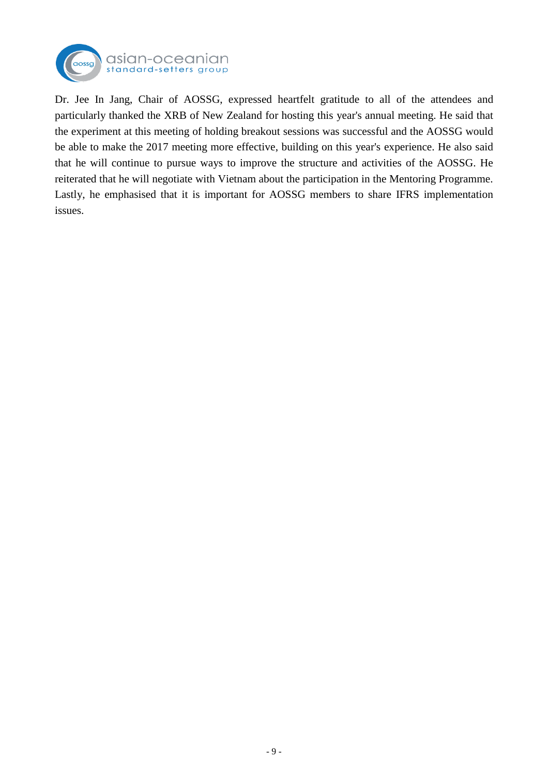

Dr. Jee In Jang, Chair of AOSSG, expressed heartfelt gratitude to all of the attendees and particularly thanked the XRB of New Zealand for hosting this year's annual meeting. He said that the experiment at this meeting of holding breakout sessions was successful and the AOSSG would be able to make the 2017 meeting more effective, building on this year's experience. He also said that he will continue to pursue ways to improve the structure and activities of the AOSSG. He reiterated that he will negotiate with Vietnam about the participation in the Mentoring Programme. Lastly, he emphasised that it is important for AOSSG members to share IFRS implementation issues.